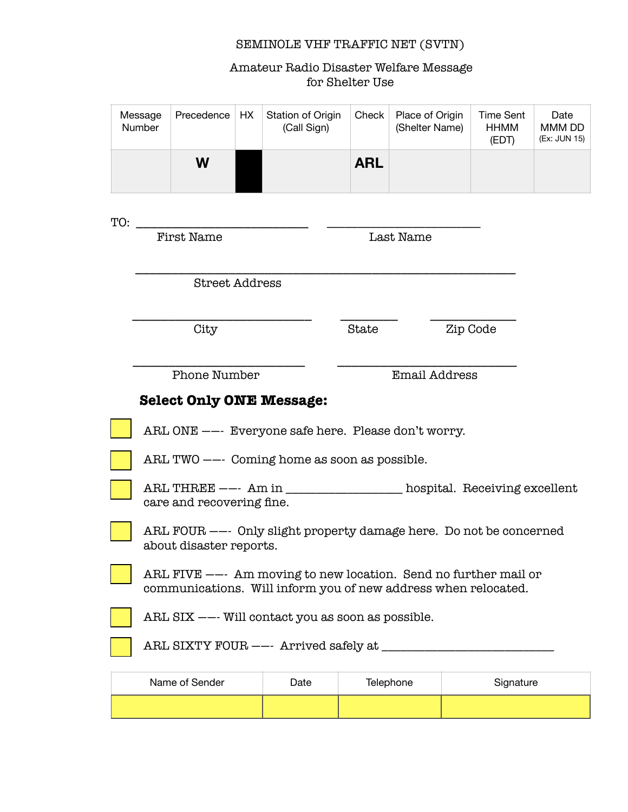## SEMINOLE VHF TRAFFIC NET (SVTN)

Amateur Radio Disaster Welfare Message for Shelter Use

| Message<br>Number | Precedence | HX. | Station of Origin<br>(Call Sign) | Check      | Place of Origin<br>(Shelter Name) | Time Sent<br><b>HHMM</b><br>(EDT) | Date<br>MMM DD<br>(Ex: JUN 15) |
|-------------------|------------|-----|----------------------------------|------------|-----------------------------------|-----------------------------------|--------------------------------|
|                   | W          |     |                                  | <b>ARL</b> |                                   |                                   |                                |

| TO: |                                                                                                                                    |      |                      |           |  |  |  |  |
|-----|------------------------------------------------------------------------------------------------------------------------------------|------|----------------------|-----------|--|--|--|--|
|     | <b>First Name</b>                                                                                                                  |      | Last Name            |           |  |  |  |  |
|     | <b>Street Address</b>                                                                                                              |      |                      |           |  |  |  |  |
|     | City                                                                                                                               |      | State                | Zip Code  |  |  |  |  |
|     | <b>Phone Number</b>                                                                                                                |      | <b>Email Address</b> |           |  |  |  |  |
|     | <b>Select Only ONE Message:</b>                                                                                                    |      |                      |           |  |  |  |  |
|     | ARL ONE --- Everyone safe here. Please don't worry.                                                                                |      |                      |           |  |  |  |  |
|     | ARL TWO --- Coming home as soon as possible.                                                                                       |      |                      |           |  |  |  |  |
|     | ARL THREE --- Am in ________________ hospital. Receiving excellent<br>care and recovering fine.                                    |      |                      |           |  |  |  |  |
|     | ARL FOUR --- Only slight property damage here. Do not be concerned<br>about disaster reports.                                      |      |                      |           |  |  |  |  |
|     | ARL FIVE $--$ Am moving to new location. Send no further mail or<br>communications. Will inform you of new address when relocated. |      |                      |           |  |  |  |  |
|     | ARL SIX --- Will contact you as soon as possible.                                                                                  |      |                      |           |  |  |  |  |
|     | ARL SIXTY FOUR --- Arrived safely at _____                                                                                         |      |                      |           |  |  |  |  |
|     | Name of Sender                                                                                                                     | Date | Telephone            | Signature |  |  |  |  |
|     |                                                                                                                                    |      |                      |           |  |  |  |  |